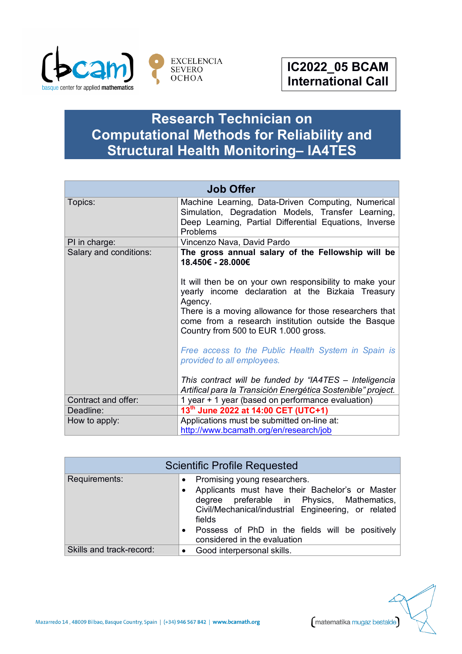

matematika mugaz bestalde

## **Research Technician on Computational Methods for Reliability and Structural Health Monitoring– IA4TES**

| <b>Job Offer</b>       |                                                                                                                                                                                                                                                                                  |  |
|------------------------|----------------------------------------------------------------------------------------------------------------------------------------------------------------------------------------------------------------------------------------------------------------------------------|--|
| Topics:                | Machine Learning, Data-Driven Computing, Numerical<br>Simulation, Degradation Models, Transfer Learning,<br>Deep Learning, Partial Differential Equations, Inverse<br>Problems                                                                                                   |  |
| PI in charge:          | Vincenzo Nava, David Pardo                                                                                                                                                                                                                                                       |  |
| Salary and conditions: | The gross annual salary of the Fellowship will be<br>18.450€ - 28.000€                                                                                                                                                                                                           |  |
|                        | It will then be on your own responsibility to make your<br>yearly income declaration at the Bizkaia Treasury<br>Agency.<br>There is a moving allowance for those researchers that<br>come from a research institution outside the Basque<br>Country from 500 to EUR 1.000 gross. |  |
|                        | Free access to the Public Health System in Spain is<br>provided to all employees.                                                                                                                                                                                                |  |
|                        | This contract will be funded by "IA4TES - Inteligencia<br>Artifical para la Transición Energética Sostenible" project.                                                                                                                                                           |  |
| Contract and offer:    | 1 year + 1 year (based on performance evaluation)                                                                                                                                                                                                                                |  |
| Deadline:              | 13th June 2022 at 14:00 CET (UTC+1)                                                                                                                                                                                                                                              |  |
| How to apply:          | Applications must be submitted on-line at:                                                                                                                                                                                                                                       |  |
|                        | http://www.bcamath.org/en/research/job                                                                                                                                                                                                                                           |  |

| <b>Scientific Profile Requested</b> |                                                                                                                                                                                                                                                                                   |  |
|-------------------------------------|-----------------------------------------------------------------------------------------------------------------------------------------------------------------------------------------------------------------------------------------------------------------------------------|--|
| Requirements:                       | Promising young researchers.<br>Applicants must have their Bachelor's or Master<br>degree preferable in Physics, Mathematics,<br>Civil/Mechanical/industrial Engineering, or related<br>fields<br>Possess of PhD in the fields will be positively<br>considered in the evaluation |  |
| Skills and track-record:            | • Good interpersonal skills.                                                                                                                                                                                                                                                      |  |

Mazarredo 14, 48009 Bilbao, Basque Country, Spain | (+34) 946 567 842 | www.bcamath.org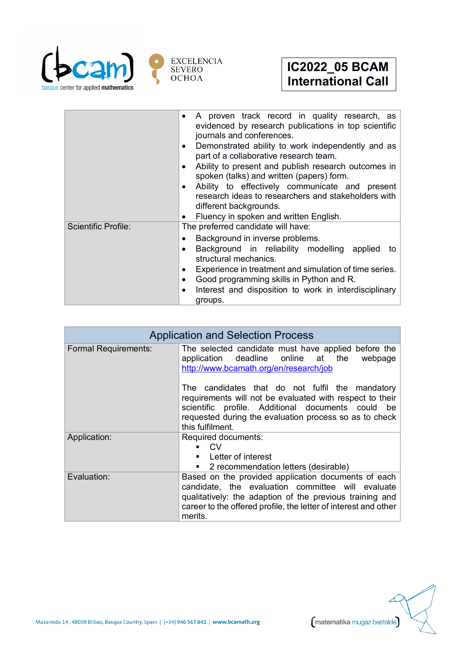

|                            | A proven track record in quality research, as<br>$\bullet$<br>evidenced by research publications in top scientific<br>journals and conferences.<br>Demonstrated ability to work independently and as<br>part of a collaborative research team.<br>Ability to present and publish research outcomes in<br>spoken (talks) and written (papers) form.<br>Ability to effectively communicate and present<br>research ideas to researchers and stakeholders with<br>different backgrounds.<br>Fluency in spoken and written English. |
|----------------------------|---------------------------------------------------------------------------------------------------------------------------------------------------------------------------------------------------------------------------------------------------------------------------------------------------------------------------------------------------------------------------------------------------------------------------------------------------------------------------------------------------------------------------------|
| <b>Scientific Profile:</b> | The preferred candidate will have:<br>Background in inverse problems.<br>Background in reliability modelling applied<br>to<br>structural mechanics.<br>Experience in treatment and simulation of time series.<br>Good programming skills in Python and R.<br>Interest and disposition to work in interdisciplinary<br>groups.                                                                                                                                                                                                   |

| <b>Application and Selection Process</b> |                                                                                                                                                                                                                                                    |
|------------------------------------------|----------------------------------------------------------------------------------------------------------------------------------------------------------------------------------------------------------------------------------------------------|
| <b>Formal Requirements:</b>              | The selected candidate must have applied before the<br>application deadline online at the<br>webpage<br>http://www.bcamath.org/en/research/job                                                                                                     |
|                                          | The candidates that do not fulfil the mandatory<br>requirements will not be evaluated with respect to their<br>scientific profile. Additional documents could be<br>requested during the evaluation process so as to check<br>this fulfilment.     |
| Application:                             | Required documents:<br>CV.<br>• Letter of interest<br>2 recommendation letters (desirable)<br>٠                                                                                                                                                    |
| Evaluation:                              | Based on the provided application documents of each<br>candidate, the evaluation committee will evaluate<br>qualitatively: the adaption of the previous training and<br>career to the offered profile, the letter of interest and other<br>merits. |